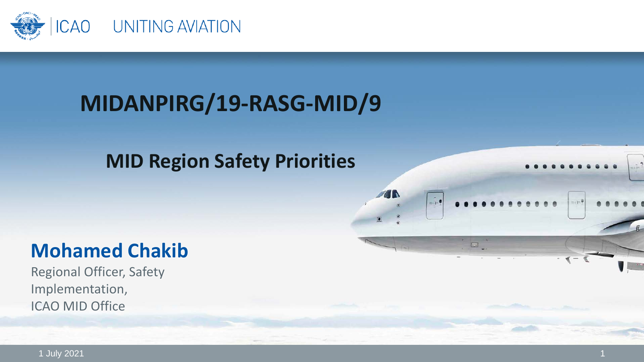

## **MIDANPIRG/19-RASG-MID/9**

### **MID Region Safety Priorities**

**TN** 

 $... - 9$ 

### **Mohamed Chakib**

Regional Officer, Safety Implementation, ICAO MID Office

1 July 2021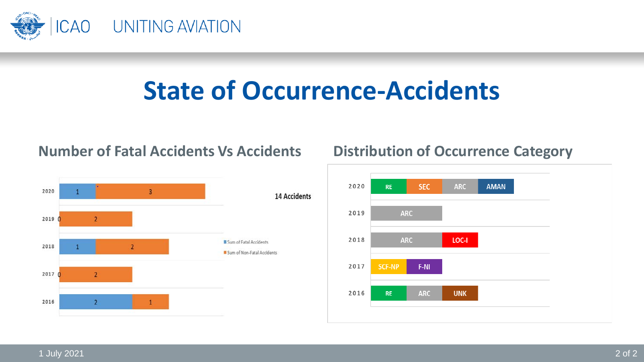

# **State of Occurrence-Accidents**

#### 2020  $\overline{3}$ 14 Accidents  $20190$ Sum of Fatal Accidents 2018  $\overline{2}$ Sum of Non-Fatal Accidents  $20170$  $\overline{2}$ 2016  $\mathfrak z$

#### **Number of Fatal Accidents Vs Accidents Distribution of Occurrence Category**

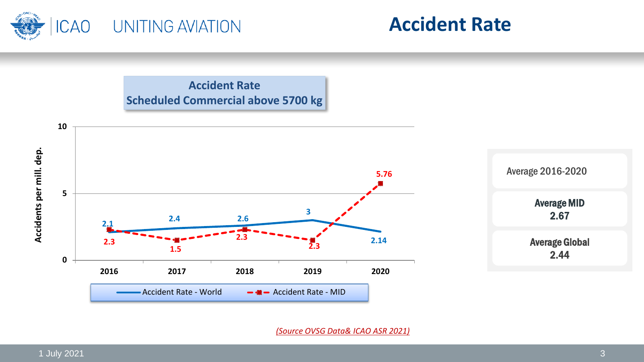



**Accident Rate Scheduled Commercial above 5700 kg**



*(Source OVSG Data& ICAO ASR 2021)*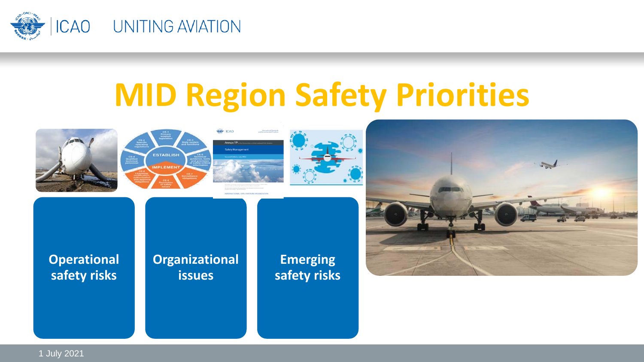

# **MID Region Safety Priorities**











**Operational safety risks**

**Organizational issues** 

**Emerging safety risks**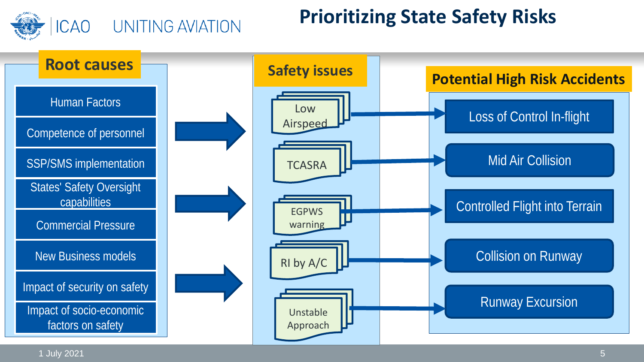

#### UNITING AVIATION

### **Prioritizing State Safety Risks**



1 July 2021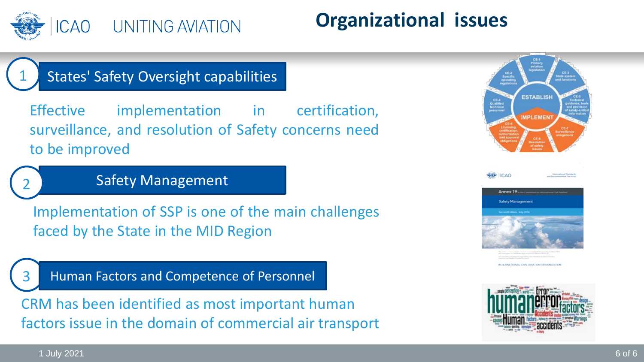

### **Organizational issues**

#### States' Safety Oversight capabilities

Effective implementation in certification, surveillance, and resolution of Safety concerns need to be improved

#### Safety Management

Implementation of SSP is one of the main challenges faced by the State in the MID Region

Human Factors and Competence of Personnel

CRM has been identified as most important human factors issue in the domain of commercial air transport





**TONAL CIVIL AVIATION DROAM(7)** 



1 July 2021 6 of 6

1

2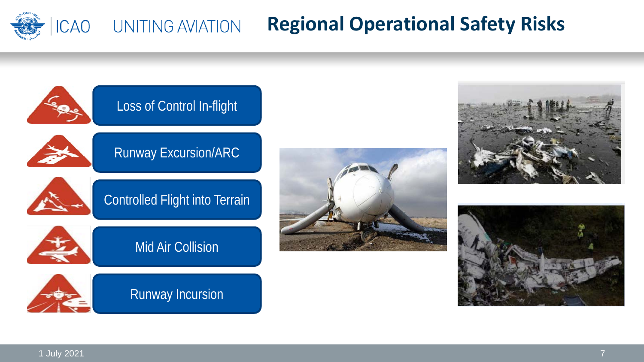

#### **Regional Operational Safety Risks ICAO** UNITING AVIATION

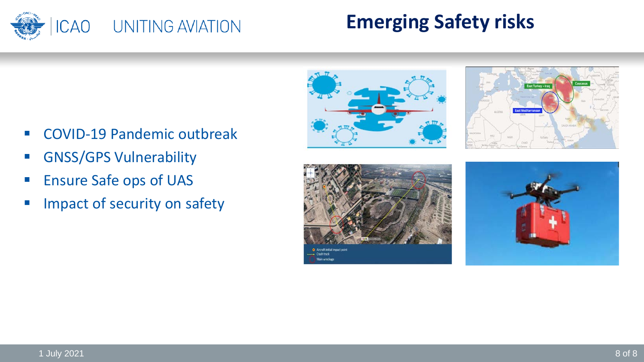

### **Emerging Safety risks**

- COVID-19 Pandemic outbreak
- **GNSS/GPS Vulnerability**
- **Ensure Safe ops of UAS**
- Impact of security on safety







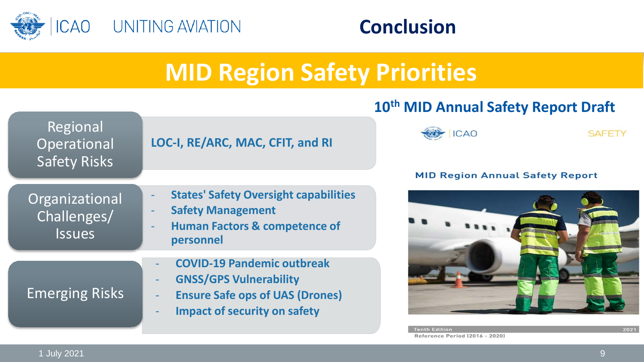

### **Conclusion**

# **MID Region Safety Priorities**

#### **10th MID Annual Safety Report Draft**





2021

**SAFETY**